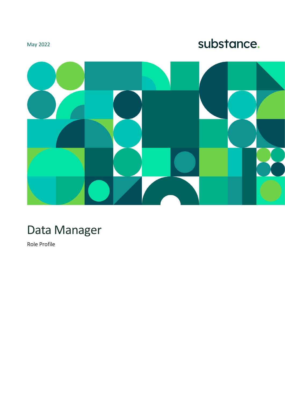## May 2022

# substance.



# Data Manager

Role Profile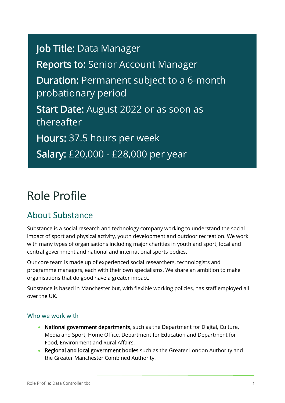Job Title: Data Manager Reports to: Senior Account Manager Duration: Permanent subject to a 6-month probationary period Start Date: August 2022 or as soon as thereafter Hours: 37.5 hours per week Salary: £20,000 - £28,000 per year

# Role Profile

## About Substance

Substance is a social research and technology company working to understand the social impact of sport and physical activity, youth development and outdoor recreation. We work with many types of organisations including major charities in youth and sport, local and central government and national and international sports bodies.

Our core team is made up of experienced social researchers, technologists and programme managers, each with their own specialisms. We share an ambition to make organisations that do good have a greater impact.

Substance is based in Manchester but, with flexible working policies, has staff employed all over the UK.

#### Who we work with

- National government departments, such as the Department for Digital, Culture, Media and Sport, Home Office, Department for Education and Department for Food, Environment and Rural Affairs.
- Regional and local government bodies such as the Greater London Authority and the Greater Manchester Combined Authority.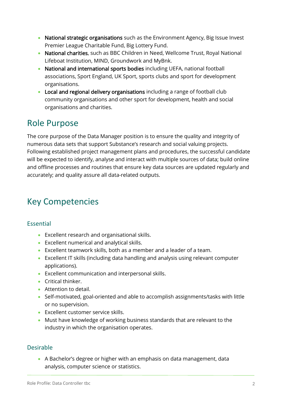- National strategic organisations such as the Environment Agency, Big Issue Invest Premier League Charitable Fund, Big Lottery Fund.
- National charities, such as BBC Children in Need, Wellcome Trust, Royal National Lifeboat Institution, MIND, Groundwork and MyBnk.
- National and international sports bodies including UEFA, national football associations, Sport England, UK Sport, sports clubs and sport for development organisations.
- Local and regional delivery organisations including a range of football club community organisations and other sport for development, health and social organisations and charities.

# Role Purpose

The core purpose of the Data Manager position is to ensure the quality and integrity of numerous data sets that support Substance's research and social valuing projects. Following established project management plans and procedures, the successful candidate will be expected to identify, analyse and interact with multiple sources of data; build online and offline processes and routines that ensure key data sources are updated regularly and accurately; and quality assure all data-related outputs.

# Key Competencies

## Essential

- Excellent research and organisational skills.
- Excellent numerical and analytical skills.
- Excellent teamwork skills, both as a member and a leader of a team.
- Excellent IT skills (including data handling and analysis using relevant computer applications).
- Excellent communication and interpersonal skills.
- Critical thinker.
- Attention to detail.
- Self-motivated, goal-oriented and able to accomplish assignments/tasks with little or no supervision.
- Excellent customer service skills.
- Must have knowledge of working business standards that are relevant to the industry in which the organisation operates.

### Desirable

• A Bachelor's degree or higher with an emphasis on data management, data analysis, computer science or statistics.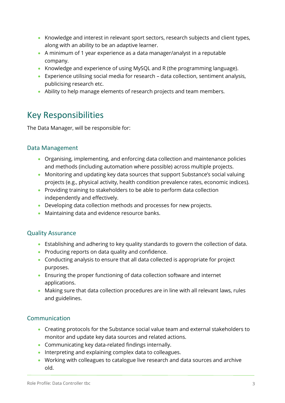- Knowledge and interest in relevant sport sectors, research subjects and client types, along with an ability to be an adaptive learner.
- A minimum of 1 year experience as a data manager/analyst in a reputable company.
- Knowledge and experience of using MySQL and R (the programming language).
- Experience utilising social media for research data collection, sentiment analysis, publicising research etc.
- Ability to help manage elements of research projects and team members.

## Key Responsibilities

The Data Manager, will be responsible for:

### Data Management

- Organising, implementing, and enforcing data collection and maintenance policies and methods (including automation where possible) across multiple projects.
- Monitoring and updating key data sources that support Substance's social valuing projects (e.g., physical activity, health condition prevalence rates, economic indices).
- Providing training to stakeholders to be able to perform data collection independently and effectively.
- Developing data collection methods and processes for new projects.
- Maintaining data and evidence resource banks.

### Quality Assurance

- Establishing and adhering to key quality standards to govern the collection of data.
- Producing reports on data quality and confidence.
- Conducting analysis to ensure that all data collected is appropriate for project purposes.
- Ensuring the proper functioning of data collection software and internet applications.
- Making sure that data collection procedures are in line with all relevant laws, rules and guidelines.

### Communication

- Creating protocols for the Substance social value team and external stakeholders to monitor and update key data sources and related actions.
- Communicating key data-related findings internally.
- Interpreting and explaining complex data to colleagues.
- Working with colleagues to catalogue live research and data sources and archive old.